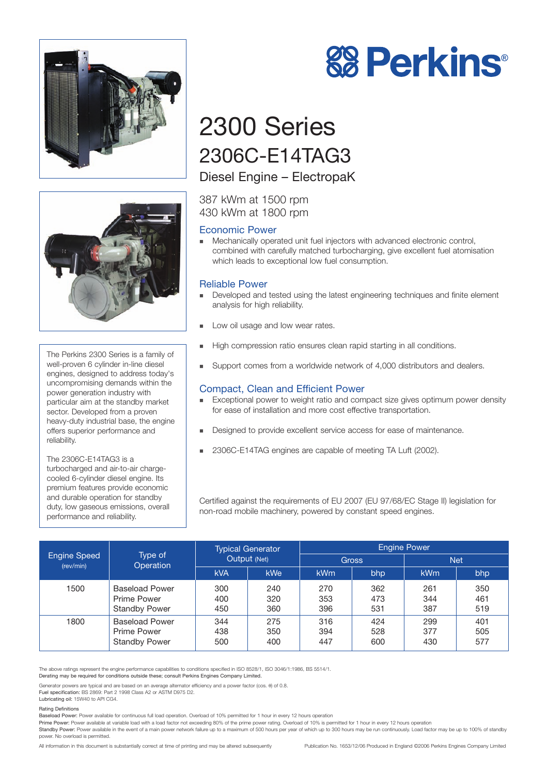



The Perkins 2300 Series is a family of well-proven 6 cylinder in-line diesel engines, designed to address today's uncompromising demands within the power generation industry with particular aim at the standby market sector. Developed from a proven heavy-duty industrial base, the engine offers superior performance and reliability.

The 2306C-E14TAG3 is a turbocharged and air-to-air chargecooled 6-cylinder diesel engine. Its premium features provide economic and durable operation for standby duty, low gaseous emissions, overall performance and reliability.



# 2300 Series 2306C-E14TAG3

## Diesel Engine – ElectropaK

387 kWm at 1500 rpm 430 kWm at 1800 rpm

## Economic Power

! Mechanically operated unit fuel injectors with advanced electronic control, combined with carefully matched turbocharging, give excellent fuel atomisation which leads to exceptional low fuel consumption.

## Reliable Power

- Developed and tested using the latest engineering techniques and finite element analysis for high reliability.
- **Low oil usage and low wear rates.**
- ! High compression ratio ensures clean rapid starting in all conditions.
- Support comes from a worldwide network of 4,000 distributors and dealers.

## Compact, Clean and Efficient Power

- Exceptional power to weight ratio and compact size gives optimum power density for ease of installation and more cost effective transportation.
- ! Designed to provide excellent service access for ease of maintenance.
- ! 2306C-E14TAG engines are capable of meeting TA Luft (2002).

Certified against the requirements of EU 2007 (EU 97/68/EC Stage II) legislation for non-road mobile machinery, powered by constant speed engines.

| <b>Engine Speed</b><br>(rev/min) | Type of<br>Operation                                                | <b>Typical Generator</b><br>Output (Net) |                   | <b>Engine Power</b> |                   |                   |                   |
|----------------------------------|---------------------------------------------------------------------|------------------------------------------|-------------------|---------------------|-------------------|-------------------|-------------------|
|                                  |                                                                     |                                          |                   | <b>Gross</b>        |                   | <b>Net</b>        |                   |
|                                  |                                                                     | <b>kVA</b>                               | kWe               | <b>kWm</b>          | bhp               | <b>kWm</b>        | bhp               |
| 1500                             | <b>Baseload Power</b><br>Prime Power<br><b>Standby Power</b>        | 300<br>400<br>450                        | 240<br>320<br>360 | 270<br>353<br>396   | 362<br>473<br>531 | 261<br>344<br>387 | 350<br>461<br>519 |
| 1800                             | <b>Baseload Power</b><br><b>Prime Power</b><br><b>Standby Power</b> | 344<br>438<br>500                        | 275<br>350<br>400 | 316<br>394<br>447   | 424<br>528<br>600 | 299<br>377<br>430 | 401<br>505<br>577 |

The above ratings represent the engine performance capabilities to conditions specified in ISO 8528/1, ISO 3046/1:1986, BS 5514/1.

Derating may be required for conditions outside these; consult Perkins Engines Company Limited.

Generator powers are typical and are based on an average alternator efficiency and a power factor (cos. θ) of 0.8.

Fuel specification: BS 2869: Part 2 1998 Class A2 or ASTM D975 D2. Lubricating oil: 15W40 to API CG4.

#### Rating Definitions

Baseload Power: Power available for continuous full load operation. Overload of 10% permitted for 1 hour in every 12 hours operation

Prime Power: Power available at variable load with a load factor not exceeding 80% of the prime power rating. Overload of 10% is permitted for 1 hour in every 12 hours operation

Standby Power: Power available in the event of a main power network failure up to a maximum of 500 hours per year of which up to 300 hours may be run continuously. Load factor may be up to 100% of standby power. No overload is permitted.

All information in this document is substantially correct at time of printing and may be altered subsequently Publication No. 1653/12/06 Produced in England ©2006 Perkins Engines Company Limited